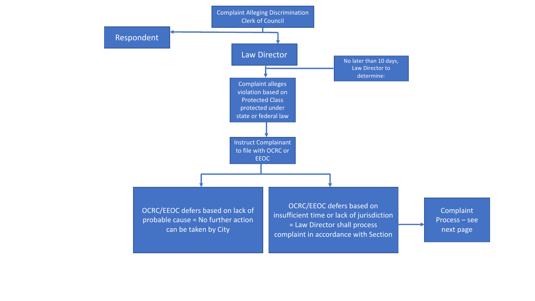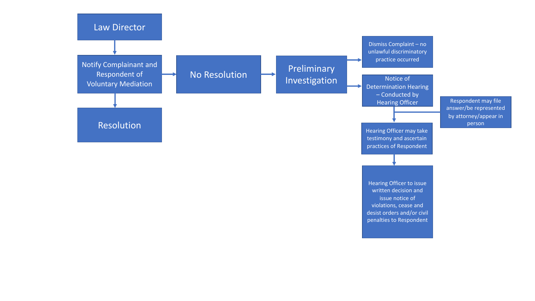